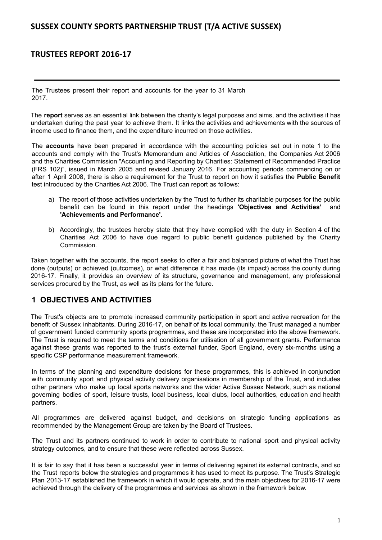# **TRUSTEES REPORT 2016-17**

The Trustees present their report and accounts for the year to 31 March 2017.

The **report** serves as an essential link between the charity's legal purposes and aims, and the activities it has undertaken during the past year to achieve them. It links the activities and achievements with the sources of income used to finance them, and the expenditure incurred on those activities.

The **accounts** have been prepared in accordance with the accounting policies set out in note 1 to the accounts and comply with the Trust's Memorandum and Articles of Association, the Companies Act 2006 and the Charities Commission "Accounting and Reporting by Charities: Statement of Recommended Practice (FRS 102)", issued in March 2005 and revised January 2016. For accounting periods commencing on or after 1 April 2008, there is also a requirement for the Trust to report on how it satisfies the **Public Benefit** test introduced by the Charities Act 2006. The Trust can report as follows:

- a) The report of those activities undertaken by the Trust to further its charitable purposes for the public benefit can be found in this report under the headings **'Objectives and Activities'** and **'Achievements and Performance'**.
- b) Accordingly, the trustees hereby state that they have complied with the duty in Section 4 of the Charities Act 2006 to have due regard to public benefit guidance published by the Charity Commission.

Taken together with the accounts, the report seeks to offer a fair and balanced picture of what the Trust has done (outputs) or achieved (outcomes), or what difference it has made (its impact) across the county during 2016-17. Finally, it provides an overview of its structure, governance and management, any professional services procured by the Trust, as well as its plans for the future.

# **1 OBJECTIVES AND ACTIVITIES**

The Trust's objects are to promote increased community participation in sport and active recreation for the benefit of Sussex inhabitants. During 2016-17, on behalf of its local community, the Trust managed a number of government funded community sports programmes, and these are incorporated into the above framework. The Trust is required to meet the terms and conditions for utilisation of all government grants. Performance against these grants was reported to the trust's external funder, Sport England, every six-months using a specific CSP performance measurement framework.

In terms of the planning and expenditure decisions for these programmes, this is achieved in conjunction with community sport and physical activity delivery organisations in membership of the Trust, and includes other partners who make up local sports networks and the wider Active Sussex Network, such as national governing bodies of sport, leisure trusts, local business, local clubs, local authorities, education and health partners.

All programmes are delivered against budget, and decisions on strategic funding applications as recommended by the Management Group are taken by the Board of Trustees.

The Trust and its partners continued to work in order to contribute to national sport and physical activity strategy outcomes, and to ensure that these were reflected across Sussex.

It is fair to say that it has been a successful year in terms of delivering against its external contracts, and so the Trust reports below the strategies and programmes it has used to meet its purpose. The Trust's Strategic Plan 2013-17 established the framework in which it would operate, and the main objectives for 2016-17 were achieved through the delivery of the programmes and services as shown in the framework below.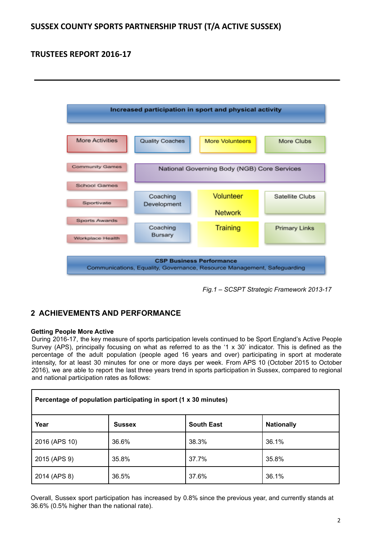

*Fig.1 – SCSPT Strategic Framework 2013-17*

# **2 ACHIEVEMENTS AND PERFORMANCE**

# **Getting People More Active**

During 2016-17, the key measure of sports participation levels continued to be Sport England's Active People Survey (APS), principally focusing on what as referred to as the '1 x 30' indicator. This is defined as the percentage of the adult population (people aged 16 years and over) participating in sport at moderate intensity, for at least 30 minutes for one or more days per week. From APS 10 (October 2015 to October 2016), we are able to report the last three years trend in sports participation in Sussex, compared to regional and national participation rates as follows:

| Percentage of population participating in sport (1 x 30 minutes) |               |                   |                   |
|------------------------------------------------------------------|---------------|-------------------|-------------------|
| Year                                                             | <b>Sussex</b> | <b>South East</b> | <b>Nationally</b> |
| 2016 (APS 10)                                                    | 36.6%         | 38.3%             | 36.1%             |
| 2015 (APS 9)                                                     | 35.8%         | 37.7%             | 35.8%             |
| 2014 (APS 8)                                                     | 36.5%         | 37.6%             | 36.1%             |

Overall, Sussex sport participation has increased by 0.8% since the previous year, and currently stands at 36.6% (0.5% higher than the national rate).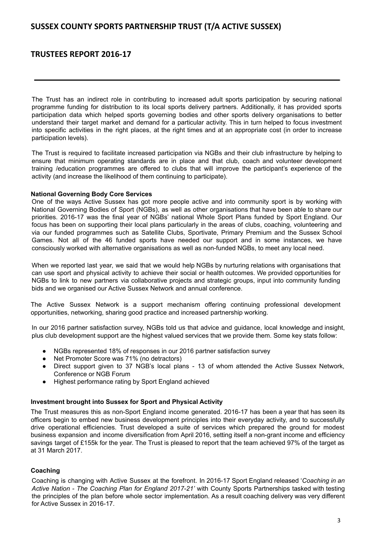# **TRUSTEES REPORT 2016-17**

The Trust has an indirect role in contributing to increased adult sports participation by securing national programme funding for distribution to its local sports delivery partners. Additionally, it has provided sports participation data which helped sports governing bodies and other sports delivery organisations to better understand their target market and demand for a particular activity. This in turn helped to focus investment into specific activities in the right places, at the right times and at an appropriate cost (in order to increase participation levels).

The Trust is required to facilitate increased participation via NGBs and their club infrastructure by helping to ensure that minimum operating standards are in place and that club, coach and volunteer development training /education programmes are offered to clubs that will improve the participant's experience of the activity (and increase the likelihood of them continuing to participate).

## **National Governing Body Core Services**

One of the ways Active Sussex has got more people active and into community sport is by working with National Governing Bodies of Sport (NGBs), as well as other organisations that have been able to share our priorities. 2016-17 was the final year of NGBs' national Whole Sport Plans funded by Sport England. Our focus has been on supporting their local plans particularly in the areas of clubs, coaching, volunteering and via our funded programmes such as Satellite Clubs, Sportivate, Primary Premium and the Sussex School Games. Not all of the 46 funded sports have needed our support and in some instances, we have consciously worked with alternative organisations as well as non-funded NGBs, to meet any local need.

When we reported last year, we said that we would help NGBs by nurturing relations with organisations that can use sport and physical activity to achieve their social or health outcomes. We provided opportunities for NGBs to link to new partners via collaborative projects and strategic groups, input into community funding bids and we organised our Active Sussex Network and annual conference.

The Active Sussex Network is a support mechanism offering continuing professional development opportunities, networking, sharing good practice and increased partnership working.

In our 2016 partner satisfaction survey, NGBs told us that advice and guidance, local knowledge and insight, plus club development support are the highest valued services that we provide them. Some key stats follow:

- NGBs represented 18% of responses in our 2016 partner satisfaction survey
- Net Promoter Score was 71% (no detractors)
- Direct support given to 37 NGB's local plans 13 of whom attended the Active Sussex Network, Conference or NGB Forum
- Highest performance rating by Sport England achieved

## **Investment brought into Sussex for Sport and Physical Activity**

The Trust measures this as non-Sport England income generated. 2016-17 has been a year that has seen its officers begin to embed new business development principles into their everyday activity, and to successfully drive operational efficiencies. Trust developed a suite of services which prepared the ground for modest business expansion and income diversification from April 2016, setting itself a non-grant income and efficiency savings target of £155k for the year. The Trust is pleased to report that the team achieved 97% of the target as at 31 March 2017.

## **Coaching**

Coaching is changing with Active Sussex at the forefront. In 2016-17 Sport England released '*Coaching in an Active Nation - The Coaching Plan for England 2017-21'* with County Sports Partnerships tasked with testing the principles of the plan before whole sector implementation. As a result coaching delivery was very different for Active Sussex in 2016-17.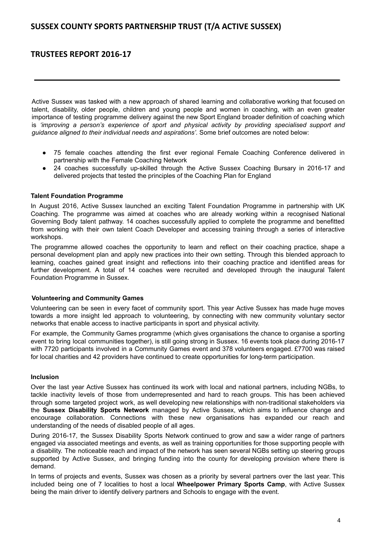# **TRUSTEES REPORT 2016-17**

Active Sussex was tasked with a new approach of shared learning and collaborative working that focused on talent, disability, older people, children and young people and women in coaching, with an even greater importance of testing programme delivery against the new Sport England broader definition of coaching which is *'improving a person's experience of sport and physical activity by providing specialised support and guidance aligned to their individual needs and aspirations'.* Some brief outcomes are noted below:

- 75 female coaches attending the first ever regional Female Coaching Conference delivered in partnership with the Female Coaching Network
- 24 coaches successfully up-skilled through the Active Sussex Coaching Bursary in 2016-17 and delivered projects that tested the principles of the Coaching Plan for England

## **Talent Foundation Programme**

In August 2016, Active Sussex launched an exciting Talent Foundation Programme in partnership with UK Coaching. The programme was aimed at coaches who are already working within a recognised National Governing Body talent pathway. 14 coaches successfully applied to complete the programme and benefitted from working with their own talent Coach Developer and accessing training through a series of interactive workshops.

The programme allowed coaches the opportunity to learn and reflect on their coaching practice, shape a personal development plan and apply new practices into their own setting. Through this blended approach to learning, coaches gained great insight and reflections into their coaching practice and identified areas for further development. A total of 14 coaches were recruited and developed through the inaugural Talent Foundation Programme in Sussex.

## **Volunteering and Community Games**

Volunteering can be seen in every facet of community sport. This year Active Sussex has made huge moves towards a more insight led approach to volunteering, by connecting with new community voluntary sector networks that enable access to inactive participants in sport and physical activity.

For example, the Community Games programme (which gives organisations the chance to organise a sporting event to bring local communities together), is still going strong in Sussex. 16 events took place during 2016-17 with 7720 participants involved in a Community Games event and 378 volunteers engaged. £7700 was raised for local charities and 42 providers have continued to create opportunities for long-term participation.

## **Inclusion**

Over the last year Active Sussex has continued its work with local and national partners, including NGBs, to tackle inactivity levels of those from underrepresented and hard to reach groups. This has been achieved through some targeted project work, as well developing new relationships with non-traditional stakeholders via the **Sussex Disability Sports Network** managed by Active Sussex, which aims to influence change and encourage collaboration. Connections with these new organisations has expanded our reach and understanding of the needs of disabled people of all ages.

During 2016-17, the Sussex Disability Sports Network continued to grow and saw a wider range of partners engaged via associated meetings and events, as well as training opportunities for those supporting people with a disability. The noticeable reach and impact of the network has seen several NGBs setting up steering groups supported by Active Sussex, and bringing funding into the county for developing provision where there is demand.

In terms of projects and events, Sussex was chosen as a priority by several partners over the last year. This included being one of 7 localities to host a local **Wheelpower Primary Sports Camp**, with Active Sussex being the main driver to identify delivery partners and Schools to engage with the event.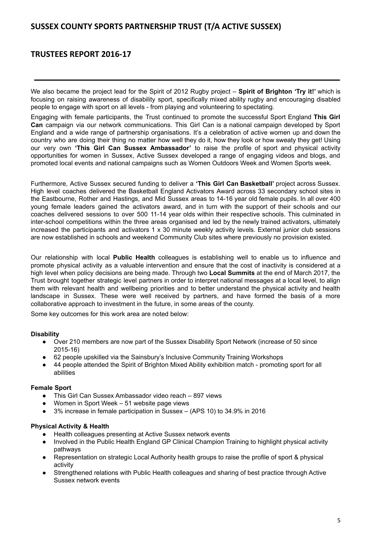# **TRUSTEES REPORT 2016-17**

We also became the project lead for the Spirit of 2012 Rugby project – **Spirit of Brighton 'Try it!'** which is focusing on raising awareness of disability sport, specifically mixed ability rugby and encouraging disabled people to engage with sport on all levels - from playing and volunteering to spectating.

Engaging with female participants, the Trust continued to promote the successful Sport England **This Girl Can** campaign via our network communications. This Girl Can is a national campaign developed by Sport England and a wide range of partnership organisations. It's a celebration of active women up and down the country who are doing their thing no matter how well they do it, how they look or how sweaty they get! Using our very own **'This Girl Can Sussex Ambassador'** to raise the profile of sport and physical activity opportunities for women in Sussex, Active Sussex developed a range of engaging videos and blogs, and promoted local events and national campaigns such as Women Outdoors Week and Women Sports week.

Furthermore, Active Sussex secured funding to deliver a **'This Girl Can Basketball'** project across Sussex. High level coaches delivered the Basketball England Activators Award across 33 secondary school sites in the Eastbourne, Rother and Hastings, and Mid Sussex areas to 14-16 year old female pupils. In all over 400 young female leaders gained the activators award, and in turn with the support of their schools and our coaches delivered sessions to over 500 11-14 year olds within their respective schools. This culminated in inter-school competitions within the three areas organised and led by the newly trained activators, ultimately increased the participants and activators 1 x 30 minute weekly activity levels. External junior club sessions are now established in schools and weekend Community Club sites where previously no provision existed.

Our relationship with local **Public Health** colleagues is establishing well to enable us to influence and promote physical activity as a valuable intervention and ensure that the cost of inactivity is considered at a high level when policy decisions are being made. Through two **Local Summits** at the end of March 2017, the Trust brought together strategic level partners in order to interpret national messages at a local level, to align them with relevant health and wellbeing priorities and to better understand the physical activity and health landscape in Sussex. These were well received by partners, and have formed the basis of a more collaborative approach to investment in the future, in some areas of the county.

Some key outcomes for this work area are noted below:

## **Disability**

- Over 210 members are now part of the Sussex Disability Sport Network (increase of 50 since 2015-16)
- 62 people upskilled via the Sainsbury's Inclusive Community Training Workshops
- 44 people attended the Spirit of Brighton Mixed Ability exhibition match promoting sport for all abilities

## **Female Sport**

- This Girl Can Sussex Ambassador video reach 897 views
- Women in Sport Week 51 website page views
- 3% increase in female participation in Sussex (APS 10) to 34.9% in 2016

## **Physical Activity & Health**

- Health colleagues presenting at Active Sussex network events
- Involved in the Public Health England GP Clinical Champion Training to highlight physical activity pathways
- Representation on strategic Local Authority health groups to raise the profile of sport & physical activity
- Strengthened relations with Public Health colleagues and sharing of best practice through Active Sussex network events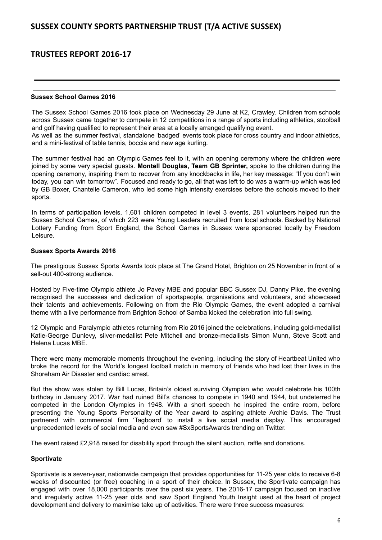# **TRUSTEES REPORT 2016-17**

## **Sussex School Games 2016**

The Sussex School Games 2016 took place on Wednesday 29 June at K2, Crawley. Children from schools across Sussex came together to compete in 12 competitions in a range of sports including athletics, stoolball and golf having qualified to represent their area at a locally arranged qualifying event.

As well as the summer festival, standalone 'badged' events took place for cross country and indoor athletics, and a mini-festival of table tennis, boccia and new age kurling.

The summer festival had an Olympic Games feel to it, with an opening ceremony where the children were joined by some very special guests. **Montell Douglas, Team GB Sprinter,** spoke to the children during the opening ceremony, inspiring them to recover from any knockbacks in life, her key message: "If you don't win today, you can win tomorrow". Focused and ready to go, all that was left to do was a warm-up which was led by GB Boxer, Chantelle Cameron, who led some high intensity exercises before the schools moved to their sports.

In terms of participation levels, 1,601 children competed in level 3 events, 281 volunteers helped run the Sussex School Games, of which 223 were Young Leaders recruited from local schools. Backed by National Lottery Funding from Sport England, the School Games in Sussex were sponsored locally by Freedom Leisure.

### **Sussex Sports Awards 2016**

The prestigious Sussex Sports Awards took place at The Grand Hotel, Brighton on 25 November in front of a sell-out 400-strong audience.

Hosted by Five-time Olympic athlete Jo Pavey MBE and popular BBC Sussex DJ, Danny Pike, the evening recognised the successes and dedication of sportspeople, organisations and volunteers, and showcased their talents and achievements. Following on from the Rio Olympic Games, the event adopted a carnival theme with a live performance from Brighton School of Samba kicked the celebration into full swing.

12 Olympic and Paralympic athletes returning from Rio 2016 joined the celebrations, including gold-medallist Katie-George Dunlevy, silver-medallist Pete Mitchell and bronze-medallists Simon Munn, Steve Scott and Helena Lucas MBE.

There were many memorable moments throughout the evening, including the story of Heartbeat United who broke the record for the World's longest football match in memory of friends who had lost their lives in the Shoreham Air Disaster and cardiac arrest.

But the show was stolen by Bill Lucas, Britain's oldest surviving Olympian who would celebrate his 100th birthday in January 2017. War had ruined Bill's chances to compete in 1940 and 1944, but undeterred he competed in the London Olympics in 1948. With a short speech he inspired the entire room, before presenting the Young Sports Personality of the Year award to aspiring athlete Archie Davis. The Trust partnered with commercial firm 'Tagboard' to install a live social media display. This encouraged unprecedented levels of social media and even saw #SxSportsAwards trending on Twitter.

The event raised £2,918 raised for disability sport through the silent auction, raffle and donations.

## **Sportivate**

Sportivate is a seven-year, nationwide campaign that provides opportunities for 11-25 year olds to receive 6-8 weeks of discounted (or free) coaching in a sport of their choice. In Sussex, the Sportivate campaign has engaged with over 18,000 participants over the past six years. The 2016-17 campaign focused on inactive and irregularly active 11-25 year olds and saw Sport England Youth Insight used at the heart of project development and delivery to maximise take up of activities. There were three success measures: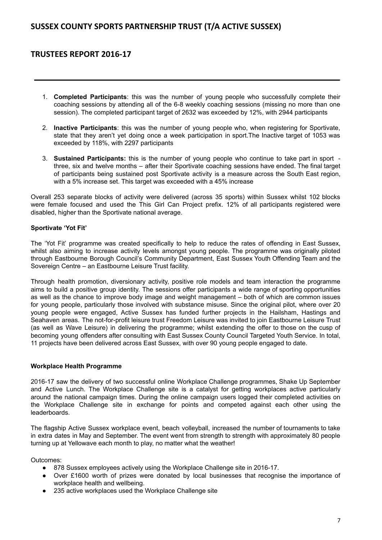# **TRUSTEES REPORT 2016-17**

- 1. **Completed Participants**: this was the number of young people who successfully complete their coaching sessions by attending all of the 6-8 weekly coaching sessions (missing no more than one session). The completed participant target of 2632 was exceeded by 12%, with 2944 participants
- 2. **Inactive Participants**: this was the number of young people who, when registering for Sportivate, state that they aren't yet doing once a week participation in sport.The Inactive target of 1053 was exceeded by 118%, with 2297 participants
- 3. **Sustained Participants:** this is the number of young people who continue to take part in sport three, six and twelve months – after their Sportivate coaching sessions have ended. The final target of participants being sustained post Sportivate activity is a measure across the South East region, with a 5% increase set. This target was exceeded with a 45% increase

Overall 253 separate blocks of activity were delivered (across 35 sports) within Sussex whilst 102 blocks were female focused and used the This Girl Can Project prefix. 12% of all participants registered were disabled, higher than the Sportivate national average.

# **Sportivate 'Yot Fit'**

The 'Yot Fit' programme was created specifically to help to reduce the rates of offending in East Sussex, whilst also aiming to increase activity levels amongst young people. The programme was originally piloted through Eastbourne Borough Council's Community Department, East Sussex Youth Offending Team and the Sovereign Centre – an Eastbourne Leisure Trust facility.

Through health promotion, diversionary activity, positive role models and team interaction the programme aims to build a positive group identity. The sessions offer participants a wide range of sporting opportunities as well as the chance to improve body image and weight management – both of which are common issues for young people, particularly those involved with substance misuse. Since the original pilot, where over 20 young people were engaged, Active Sussex has funded further projects in the Hailsham, Hastings and Seahaven areas. The not-for-profit leisure trust Freedom Leisure was invited to join Eastbourne Leisure Trust (as well as Wave Leisure) in delivering the programme; whilst extending the offer to those on the cusp of becoming young offenders after consulting with East Sussex County Council Targeted Youth Service. In total, 11 projects have been delivered across East Sussex, with over 90 young people engaged to date.

## **Workplace Health Programme**

2016-17 saw the delivery of two successful online Workplace Challenge programmes, Shake Up September and Active Lunch. The Workplace Challenge site is a catalyst for getting workplaces active particularly around the national campaign times. During the online campaign users logged their completed activities on the Workplace Challenge site in exchange for points and competed against each other using the leaderboards.

The flagship Active Sussex workplace event, beach volleyball, increased the number of tournaments to take in extra dates in May and September. The event went from strength to strength with approximately 80 people turning up at Yellowave each month to play, no matter what the weather!

Outcomes:

- 878 Sussex employees actively using the Workplace Challenge site in 2016-17.
- Over £1600 worth of prizes were donated by local businesses that recognise the importance of workplace health and wellbeing.
- 235 active workplaces used the Workplace Challenge site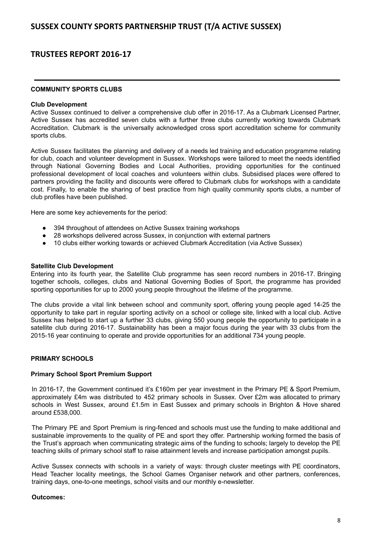### **COMMUNITY SPORTS CLUBS**

#### **Club Development**

Active Sussex continued to deliver a comprehensive club offer in 2016-17. As a Clubmark Licensed Partner, Active Sussex has accredited seven clubs with a further three clubs currently working towards Clubmark Accreditation. Clubmark is the universally acknowledged cross sport accreditation scheme for community sports clubs.

Active Sussex facilitates the planning and delivery of a needs led training and education programme relating for club, coach and volunteer development in Sussex. Workshops were tailored to meet the needs identified through National Governing Bodies and Local Authorities, providing opportunities for the continued professional development of local coaches and volunteers within clubs. Subsidised places were offered to partners providing the facility and discounts were offered to Clubmark clubs for workshops with a candidate cost. Finally, to enable the sharing of best practice from high quality community sports clubs, a number of club profiles have been published.

Here are some key achievements for the period:

- 394 throughout of attendees on Active Sussex training workshops
- 28 workshops delivered across Sussex, in conjunction with external partners
- 10 clubs either working towards or achieved Clubmark Accreditation (via Active Sussex)

### **Satellite Club Development**

Entering into its fourth year, the Satellite Club programme has seen record numbers in 2016-17. Bringing together schools, colleges, clubs and National Governing Bodies of Sport, the programme has provided sporting opportunities for up to 2000 young people throughout the lifetime of the programme.

The clubs provide a vital link between school and community sport, offering young people aged 14-25 the opportunity to take part in regular sporting activity on a school or college site, linked with a local club. Active Sussex has helped to start up a further 33 clubs, giving 550 young people the opportunity to participate in a satellite club during 2016-17. Sustainability has been a major focus during the year with 33 clubs from the 2015-16 year continuing to operate and provide opportunities for an additional 734 young people.

## **PRIMARY SCHOOLS**

## **Primary School Sport Premium Support**

In 2016-17, the Government continued it's £160m per year investment in the Primary PE & Sport Premium, approximately £4m was distributed to 452 primary schools in Sussex. Over £2m was allocated to primary schools in West Sussex, around £1.5m in East Sussex and primary schools in Brighton & Hove shared around £538,000.

The Primary PE and Sport Premium is ring-fenced and schools must use the funding to make additional and sustainable improvements to the quality of PE and sport they offer. Partnership working formed the basis of the Trust's approach when communicating strategic aims of the funding to schools; largely to develop the PE teaching skills of primary school staff to raise attainment levels and increase participation amongst pupils.

Active Sussex connects with schools in a variety of ways: through cluster meetings with PE coordinators, Head Teacher locality meetings, the School Games Organiser network and other partners, conferences, training days, one-to-one meetings, school visits and our monthly e-newsletter.

#### **Outcomes:**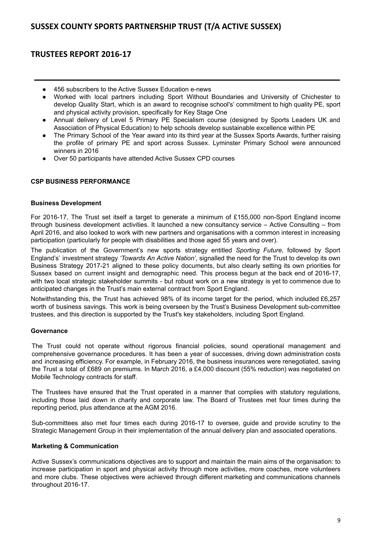# **TRUSTEES REPORT 2016-17**

- 456 subscribers to the Active Sussex Education e-news
- Worked with local partners including Sport Without Boundaries and University of Chichester to develop Quality Start, which is an award to recognise school's' commitment to high quality PE, sport and physical activity provision, specifically for Key Stage One
- Annual delivery of Level 5 Primary PE Specialism course (designed by Sports Leaders UK and Association of Physical Education) to help schools develop sustainable excellence within PE
- The Primary School of the Year award into its third year at the Sussex Sports Awards, further raising the profile of primary PE and sport across Sussex. Lyminster Primary School were announced winners in 2016
- Over 50 participants have attended Active Sussex CPD courses

# **CSP BUSINESS PERFORMANCE**

### **Business Development**

For 2016-17, The Trust set itself a target to generate a minimum of £155,000 non-Sport England income through business development activities. It launched a new consultancy service – Active Consulting – from April 2016, and also looked to work with new partners and organisations with a common interest in increasing participation (particularly for people with disabilities and those aged 55 years and over).

The publication of the Government's new sports strategy entitled *Sporting Future*, followed by Sport England's' investment strategy *'Towards An Active Nation'*, signalled the need for the Trust to develop its own Business Strategy 2017-21 aligned to these policy documents, but also clearly setting its own priorities for Sussex based on current insight and demographic need. This process begun at the back end of 2016-17, with two local strategic stakeholder summits - but robust work on a new strategy is yet to commence due to anticipated changes in the Trust's main external contract from Sport England.

Notwithstanding this, the Trust has achieved 98% of its income target for the period, which included £6,257 worth of business savings. This work is being overseen by the Trust's Business Development sub-committee trustees, and this direction is supported by the Trust's key stakeholders, including Sport England.

## **Governance**

The Trust could not operate without rigorous financial policies, sound operational management and comprehensive governance procedures. It has been a year of successes, driving down administration costs and increasing efficiency. For example, in February 2016, the business insurances were renegotiated, saving the Trust a total of £689 on premiums. In March 2016, a £4,000 discount (55% reduction) was negotiated on Mobile Technology contracts for staff.

The Trustees have ensured that the Trust operated in a manner that complies with statutory regulations, including those laid down in charity and corporate law. The Board of Trustees met four times during the reporting period, plus attendance at the AGM 2016.

Sub-committees also met four times each during 2016-17 to oversee, guide and provide scrutiny to the Strategic Management Group in their implementation of the annual delivery plan and associated operations.

#### **Marketing & Communication**

Active Sussex's communications objectives are to support and maintain the main aims of the organisation: to increase participation in sport and physical activity through more activities, more coaches, more volunteers and more clubs. These objectives were achieved through different marketing and communications channels throughout 2016-17.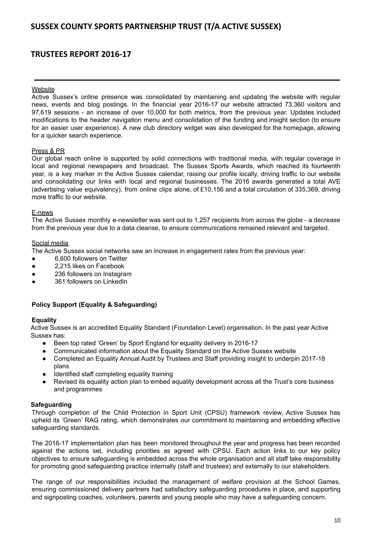# **TRUSTEES REPORT 2016-17**

### **Website**

Active Sussex's online presence was consolidated by maintaining and updating the website with regular news, events and blog postings. In the financial year 2016-17 our website attracted 73,360 visitors and 97,619 sessions - an increase of over 10,000 for both metrics, from the previous year. Updates included modifications to the header navigation menu and consolidation of the funding and insight section (to ensure for an easier user experience). A new club directory widget was also developed for the homepage, allowing for a quicker search experience.

### Press & PR

Our global reach online is supported by solid connections with traditional media, with regular coverage in local and regional newspapers and broadcast. The Sussex Sports Awards, which reached its fourteenth year, is a key marker in the Active Sussex calendar, raising our profile locally, driving traffic to our website and consolidating our links with local and regional businesses. The 2016 awards generated a total AVE (advertising value equivalency), from online clips alone, of £10,156 and a total circulation of 335,369, driving more traffic to our website.

### E-news

The Active Sussex monthly e-newsletter was sent out to 1,257 recipients from across the globe - a decrease from the previous year due to a data cleanse, to ensure communications remained relevant and targeted.

### Social media

The Active Sussex social networks saw an increase in engagement rates from the previous year:

- 6,600 followers on Twitter
- 2,215 likes on Facebook
- 236 followers on Instagram
- 361 followers on LinkedIn

## **Policy Support (Equality & Safeguarding)**

## **Equality**

Active Sussex is an accredited Equality Standard (Foundation Level) organisation. In the past year Active Sussex has:

- Been top rated 'Green' by Sport England for equality delivery in 2016-17
- Communicated information about the Equality Standard on the Active Sussex website
- Completed an Equality Annual Audit by Trustees and Staff providing insight to underpin 2017-18 plans
- Identified staff completing equality training
- Revised its equality action plan to embed equality development across all the Trust's core business and programmes

#### **Safeguarding**

Through completion of the Child Protection in Sport Unit (CPSU) framework review, Active Sussex has upheld its 'Green' RAG rating, which demonstrates our commitment to maintaining and embedding effective safeguarding standards.

The 2016-17 implementation plan has been monitored throughout the year and progress has been recorded against the actions set, including priorities as agreed with CPSU. Each action links to our key policy objectives to ensure safeguarding is embedded across the whole organisation and all staff take responsibility for promoting good safeguarding practice internally (staff and trustees) and externally to our stakeholders.

The range of our responsibilities included the management of welfare provision at the School Games, ensuring commissioned delivery partners had satisfactory safeguarding procedures in place, and supporting and signposting coaches, volunteers, parents and young people who may have a safeguarding concern.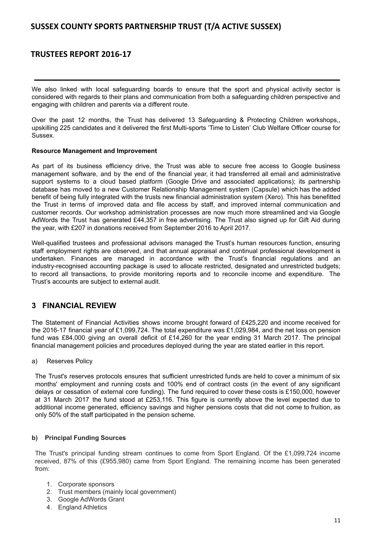# **TRUSTEES REPORT 2016-17**

We also linked with local safeguarding boards to ensure that the sport and physical activity sector is considered with regards to their plans and communication from both a safeguarding children perspective and engaging with children and parents via a different route.

Over the past 12 months, the Trust has delivered 13 Safeguarding & Protecting Children workshops,, upskilling 225 candidates and it delivered the first Multi-sports 'Time to Listen' Club Welfare Officer course for Sussex.

### **Resource Management and Improvement**

As part of its business efficiency drive, the Trust was able to secure free access to Google business management software, and by the end of the financial year, it had transferred all email and administrative support systems to a cloud based platform (Google Drive and associated applications); its partnership database has moved to a new Customer Relationship Management system (Capsule) which has the added benefit of being fully integrated with the trusts new financial administration system (Xero). This has benefitted the Trust in terms of improved data and file access by staff, and improved internal communication and customer records. Our workshop administration processes are now much more streamlined and via Google AdWords the Trust has generated £44,357 in free advertising. The Trust also signed up for Gift Aid during the year, with £207 in donations received from September 2016 to April 2017.

Well-qualified trustees and professional advisors managed the Trust's human resources function, ensuring staff employment rights are observed, and that annual appraisal and continual professional development is undertaken. Finances are managed in accordance with the Trust's financial regulations and an industry-recognised accounting package is used to allocate restricted, designated and unrestricted budgets; to record all transactions, to provide monitoring reports and to reconcile income and expenditure. The Trust's accounts are subject to external audit.

# **3 FINANCIAL REVIEW**

The Statement of Financial Activities shows income brought forward of £425,220 and income received for the 2016-17 financial year of £1,099,724. The total expenditure was £1,029,984, and the net loss on pension fund was £84,000 giving an overall deficit of £14,260 for the year ending 31 March 2017. The principal financial management policies and procedures deployed during the year are stated earlier in this report.

## a) Reserves Policy

The Trust's reserves protocols ensures that sufficient unrestricted funds are held to cover a minimum of six months' employment and running costs and 100% end of contract costs (in the event of any significant delays or cessation of external core funding). The fund required to cover these costs is £150,000, however at 31 March 2017 the fund stood at £253,116. This figure is currently above the level expected due to additional income generated, efficiency savings and higher pensions costs that did not come to fruition, as only 50% of the staff participated in the pension scheme.

## **b) Principal Funding Sources**

The Trust's principal funding stream continues to come from Sport England. Of the £1,099,724 income received, 87% of this (£955,980) came from Sport England. The remaining income has been generated from:

- 1. Corporate sponsors
- 2. Trust members (mainly local government)
- 3. Google AdWords Grant
- 4. England Athletics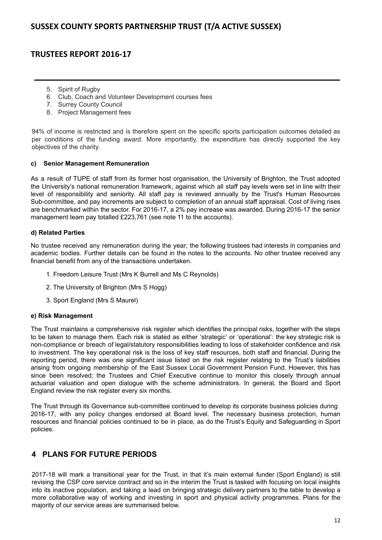- 5. Spirit of Rugby
- 6. Club, Coach and Volunteer Development courses fees
- 7. Surrey County Council
- 8. Project Management fees

94% of income is restricted and is therefore spent on the specific sports participation outcomes detailed as per conditions of the funding award. More importantly, the expenditure has directly supported the key objectives of the charity.

## **c) Senior Management Remuneration**

As a result of TUPE of staff from its former host organisation, the University of Brighton, the Trust adopted the University's national remuneration framework, against which all staff pay levels were set in line with their level of responsibility and seniority. All staff pay is reviewed annually by the Trust's Human Resources Sub-committee, and pay increments are subject to completion of an annual staff appraisal. Cost of living rises are benchmarked within the sector. For 2016-17, a 2% pay increase was awarded. During 2016-17 the senior management team pay totalled £223,761 (see note 11 to the accounts).

# **d) Related Parties**

No trustee received any remuneration during the year; the following trustees had interests in companies and academic bodies. Further details can be found in the notes to the accounts. No other trustee received any financial benefit from any of the transactions undertaken.

- 1. Freedom Leisure Trust (Mrs K Burrell and Ms C Reynolds)
- 2. The University of Brighton (Mrs S Hogg)
- 3. Sport England (Mrs S Maurel)

## **e) Risk Management**

The Trust maintains a comprehensive risk register which identifies the principal risks, together with the steps to be taken to manage them. Each risk is stated as either 'strategic' or 'operational': the key strategic risk is non-compliance or breach of legal/statutory responsibilities leading to loss of stakeholder confidence and risk to investment. The key operational risk is the loss of key staff resources, both staff and financial. During the reporting period, there was one significant issue listed on the risk register relating to the Trust's liabilities arising from ongoing membership of the East Sussex Local Government Pension Fund. However, this has since been resolved; the Trustees and Chief Executive continue to monitor this closely through annual actuarial valuation and open dialogue with the scheme administrators. In general, the Board and Sport England review the risk register every six months.

The Trust through its Governance sub-committee continued to develop its corporate business policies during 2016-17, with any policy changes endorsed at Board level. The necessary business protection, human resources and financial policies continued to be in place, as do the Trust's Equity and Safeguarding in Sport policies.

# **4 PLANS FOR FUTURE PERIODS**

2017-18 will mark a transitional year for the Trust, in that it's main external funder (Sport England) is still revising the CSP core service contract and so in the interim the Trust is tasked with focusing on local insights into its inactive population, and taking a lead on bringing strategic delivery partners to the table to develop a more collaborative way of working and investing in sport and physical activity programmes. Plans for the majority of our service areas are summarised below.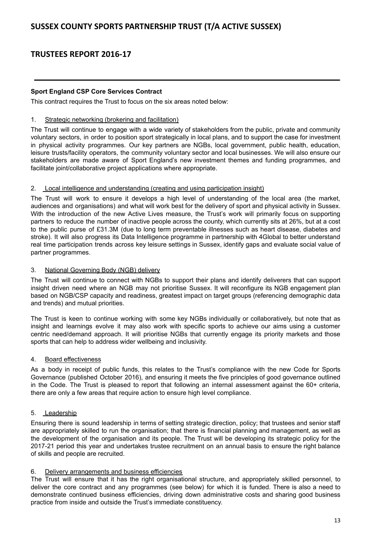# **Sport England CSP Core Services Contract**

This contract requires the Trust to focus on the six areas noted below:

### 1. Strategic networking (brokering and facilitation)

The Trust will continue to engage with a wide variety of stakeholders from the public, private and community voluntary sectors, in order to position sport strategically in local plans, and to support the case for investment in physical activity programmes. Our key partners are NGBs, local government, public health, education, leisure trusts/facility operators, the community voluntary sector and local businesses. We will also ensure our stakeholders are made aware of Sport England's new investment themes and funding programmes, and facilitate joint/collaborative project applications where appropriate.

## 2. Local intelligence and understanding (creating and using participation insight)

The Trust will work to ensure it develops a high level of understanding of the local area (the market, audiences and organisations) and what will work best for the delivery of sport and physical activity in Sussex. With the introduction of the new Active Lives measure, the Trust's work will primarily focus on supporting partners to reduce the number of inactive people across the county, which currently sits at 26%, but at a cost to the public purse of £31.3M (due to long term preventable illnesses such as heart disease, diabetes and stroke). It will also progress its Data Intelligence programme in partnership with 4Global to better understand real time participation trends across key leisure settings in Sussex, identify gaps and evaluate social value of partner programmes.

### 3. National Governing Body (NGB) delivery

The Trust will continue to connect with NGBs to support their plans and identify deliverers that can support insight driven need where an NGB may not prioritise Sussex. It will reconfigure its NGB engagement plan based on NGB/CSP capacity and readiness, greatest impact on target groups (referencing demographic data and trends) and mutual priorities.

The Trust is keen to continue working with some key NGBs individually or collaboratively, but note that as insight and learnings evolve it may also work with specific sports to achieve our aims using a customer centric need/demand approach. It will prioritise NGBs that currently engage its priority markets and those sports that can help to address wider wellbeing and inclusivity.

#### 4. Board effectiveness

As a body in receipt of public funds, this relates to the Trust's compliance with the new Code for Sports Governance (published October 2016), and ensuring it meets the five principles of good governance outlined in the Code. The Trust is pleased to report that following an internal assessment against the 60+ criteria, there are only a few areas that require action to ensure high level compliance.

## 5. Leadership

Ensuring there is sound leadership in terms of setting strategic direction, policy; that trustees and senior staff are appropriately skilled to run the organisation; that there is financial planning and management, as well as the development of the organisation and its people. The Trust will be developing its strategic policy for the 2017-21 period this year and undertakes trustee recruitment on an annual basis to ensure the right balance of skills and people are recruited.

#### 6. Delivery arrangements and business efficiencies

The Trust will ensure that it has the right organisational structure, and appropriately skilled personnel, to deliver the core contract and any programmes (see below) for which it is funded. There is also a need to demonstrate continued business efficiencies, driving down administrative costs and sharing good business practice from inside and outside the Trust's immediate constituency.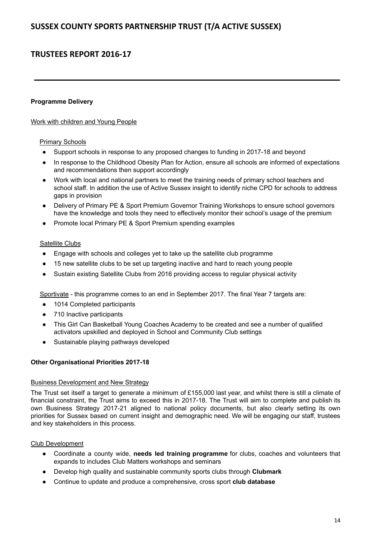## **Programme Delivery**

## Work with children and Young People

## Primary Schools

- Support schools in response to any proposed changes to funding in 2017-18 and beyond
- In response to the Childhood Obesity Plan for Action, ensure all schools are informed of expectations and recommendations then support accordingly
- Work with local and national partners to meet the training needs of primary school teachers and school staff. In addition the use of Active Sussex insight to identify niche CPD for schools to address gaps in provision
- Delivery of Primary PE & Sport Premium Governor Training Workshops to ensure school governors have the knowledge and tools they need to effectively monitor their school's usage of the premium
- Promote local Primary PE & Sport Premium spending examples

### Satellite Clubs

- Engage with schools and colleges yet to take up the satellite club programme
- 15 new satellite clubs to be set up targeting inactive and hard to reach young people
- Sustain existing Satellite Clubs from 2016 providing access to regular physical activity

Sportivate - this programme comes to an end in September 2017. The final Year 7 targets are:

- 1014 Completed participants
- 710 Inactive participants
- This Girl Can Basketball Young Coaches Academy to be created and see a number of qualified activators upskilled and deployed in School and Community Club settings
- Sustainable playing pathways developed

## **Other Organisational Priorities 2017-18**

#### Business Development and New Strategy

The Trust set itself a target to generate a minimum of £155,000 last year, and whilst there is still a climate of financial constraint, the Trust aims to exceed this in 2017-18. The Trust will aim to complete and publish its own Business Strategy 2017-21 aligned to national policy documents, but also clearly setting its own priorities for Sussex based on current insight and demographic need. We will be engaging our staff, trustees and key stakeholders in this process.

# Club Development

- Coordinate a county wide, **needs led training programme** for clubs, coaches and volunteers that expands to includes Club Matters workshops and seminars
- Develop high quality and sustainable community sports clubs through **Clubmark**
- Continue to update and produce a comprehensive, cross sport **club database**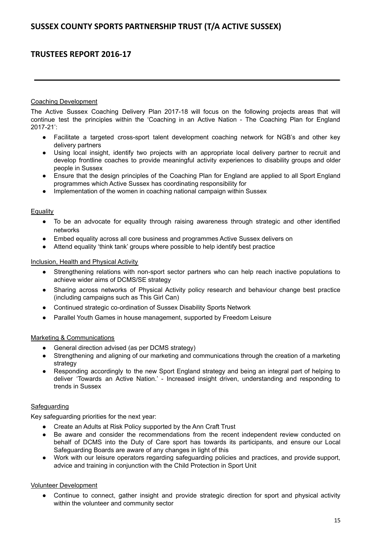### Coaching Development

The Active Sussex Coaching Delivery Plan 2017-18 will focus on the following projects areas that will continue test the principles within the 'Coaching in an Active Nation - The Coaching Plan for England 2017-21':

- Facilitate a targeted cross-sport talent development coaching network for NGB's and other key delivery partners
- Using local insight, identify two projects with an appropriate local delivery partner to recruit and develop frontline coaches to provide meaningful activity experiences to disability groups and older people in Sussex
- Ensure that the design principles of the Coaching Plan for England are applied to all Sport England programmes which Active Sussex has coordinating responsibility for
- Implementation of the women in coaching national campaign within Sussex

### Equality

- To be an advocate for equality through raising awareness through strategic and other identified networks
- Embed equality across all core business and programmes Active Sussex delivers on
- Attend equality 'think tank' groups where possible to help identify best practice

### Inclusion, Health and Physical Activity

- **●** Strengthening relations with non-sport sector partners who can help reach inactive populations to achieve wider aims of DCMS/SE strategy
- Sharing across networks of Physical Activity policy research and behaviour change best practice (including campaigns such as This Girl Can)
- Continued strategic co-ordination of Sussex Disability Sports Network
- **●** Parallel Youth Games in house management, supported by Freedom Leisure

## Marketing & Communications

- General direction advised (as per DCMS strategy)
- Strengthening and aligning of our marketing and communications through the creation of a marketing strategy
- Responding accordingly to the new Sport England strategy and being an integral part of helping to deliver 'Towards an Active Nation.' - Increased insight driven, understanding and responding to trends in Sussex

## **Safequarding**

Key safeguarding priorities for the next year:

- Create an Adults at Risk Policy supported by the Ann Craft Trust
- Be aware and consider the recommendations from the recent independent review conducted on behalf of DCMS into the Duty of Care sport has towards its participants, and ensure our Local Safeguarding Boards are aware of any changes in light of this
- Work with our leisure operators regarding safeguarding policies and practices, and provide support, advice and training in conjunction with the Child Protection in Sport Unit

## Volunteer Development

Continue to connect, gather insight and provide strategic direction for sport and physical activity within the volunteer and community sector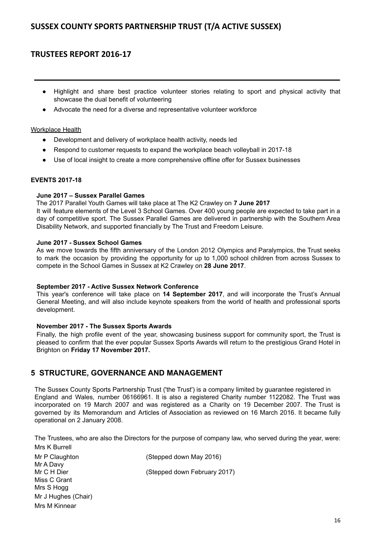# **TRUSTEES REPORT 2016-17**

- Highlight and share best practice volunteer stories relating to sport and physical activity that showcase the dual benefit of volunteering
- Advocate the need for a diverse and representative volunteer workforce

### Workplace Health

- Development and delivery of workplace health activity, needs led
- Respond to customer requests to expand the workplace beach volleyball in 2017-18
- Use of local insight to create a more comprehensive offline offer for Sussex businesses

### **EVENTS 2017-18**

### **June 2017 – Sussex Parallel Games**

The 2017 Parallel Youth Games will take place at The K2 Crawley on **7 June 2017** It will feature elements of the Level 3 School Games. Over 400 young people are expected to take part in a day of competitive sport. The Sussex Parallel Games are delivered in partnership with the Southern Area Disability Network, and supported financially by The Trust and Freedom Leisure.

### **June 2017 - Sussex School Games**

As we move towards the fifth anniversary of the London 2012 Olympics and Paralympics, the Trust seeks to mark the occasion by providing the opportunity for up to 1,000 school children from across Sussex to compete in the School Games in Sussex at K2 Crawley on **28 June 2017**.

#### **September 2017 - Active Sussex Network Conference**

This year's conference will take place on **14 September 2017**, and will incorporate the Trust's Annual General Meeting, and will also include keynote speakers from the world of health and professional sports development.

## **November 2017 - The Sussex Sports Awards**

Finally, the high profile event of the year, showcasing business support for community sport, the Trust is pleased to confirm that the ever popular Sussex Sports Awards will return to the prestigious Grand Hotel in Brighton on **Friday 17 November 2017.**

# **5 STRUCTURE, GOVERNANCE AND MANAGEMENT**

The Sussex County Sports Partnership Trust ('the Trust') is a company limited by guarantee registered in England and Wales, number 06166961. It is also a registered Charity number 1122082. The Trust was incorporated on 19 March 2007 and was registered as a Charity on 19 December 2007. The Trust is governed by its Memorandum and Articles of Association as reviewed on 16 March 2016. It became fully operational on 2 January 2008.

The Trustees, who are also the Directors for the purpose of company law, who served during the year, were: Mrs K Burrell

| Mr P Claughton      | (Stepped down May 2016)      |
|---------------------|------------------------------|
| Mr A Davy           |                              |
| Mr C H Dier         | (Stepped down February 2017) |
| Miss C Grant        |                              |
| Mrs S Hogg          |                              |
| Mr J Hughes (Chair) |                              |
| Mrs M Kinnear       |                              |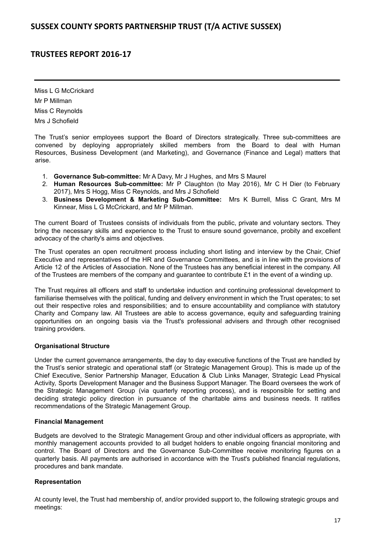Miss L G McCrickard Mr P Millman Miss C Reynolds Mrs J Schofield

The Trust's senior employees support the Board of Directors strategically. Three sub-committees are convened by deploying appropriately skilled members from the Board to deal with Human Resources, Business Development (and Marketing), and Governance (Finance and Legal) matters that arise.

- 1. **Governance Sub-committee:** Mr A Davy, Mr J Hughes, and Mrs S Maurel
- 2. **Human Resources Sub-committee:** Mr P Claughton (to May 2016), Mr C H Dier (to February 2017), Mrs S Hogg, Miss C Reynolds, and Mrs J Schofield
- 3. **Business Development & Marketing Sub-Committee:** Mrs K Burrell, Miss C Grant, Mrs M Kinnear, Miss L G McCrickard, and Mr P Millman.

The current Board of Trustees consists of individuals from the public, private and voluntary sectors. They bring the necessary skills and experience to the Trust to ensure sound governance, probity and excellent advocacy of the charity's aims and objectives.

The Trust operates an open recruitment process including short listing and interview by the Chair, Chief Executive and representatives of the HR and Governance Committees, and is in line with the provisions of Article 12 of the Articles of Association. None of the Trustees has any beneficial interest in the company. All of the Trustees are members of the company and guarantee to contribute £1 in the event of a winding up.

The Trust requires all officers and staff to undertake induction and continuing professional development to familiarise themselves with the political, funding and delivery environment in which the Trust operates; to set out their respective roles and responsibilities; and to ensure accountability and compliance with statutory Charity and Company law. All Trustees are able to access governance, equity and safeguarding training opportunities on an ongoing basis via the Trust's professional advisers and through other recognised training providers.

## **Organisational Structure**

Under the current governance arrangements, the day to day executive functions of the Trust are handled by the Trust's senior strategic and operational staff (or Strategic Management Group). This is made up of the Chief Executive, Senior Partnership Manager, Education & Club Links Manager, Strategic Lead Physical Activity, Sports Development Manager and the Business Support Manager. The Board oversees the work of the Strategic Management Group (via quarterly reporting process), and is responsible for setting and deciding strategic policy direction in pursuance of the charitable aims and business needs. It ratifies recommendations of the Strategic Management Group.

## **Financial Management**

Budgets are devolved to the Strategic Management Group and other individual officers as appropriate, with monthly management accounts provided to all budget holders to enable ongoing financial monitoring and control. The Board of Directors and the Governance Sub-Committee receive monitoring figures on a quarterly basis. All payments are authorised in accordance with the Trust's published financial regulations, procedures and bank mandate.

## **Representation**

At county level, the Trust had membership of, and/or provided support to, the following strategic groups and meetings: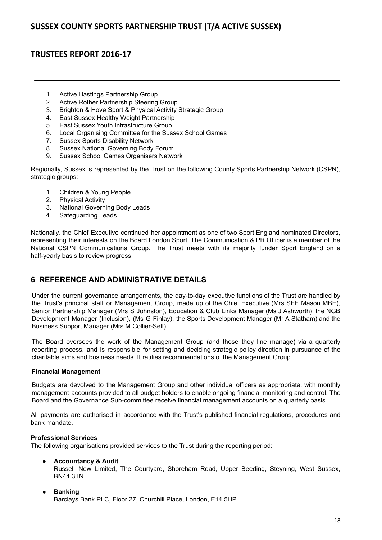# **TRUSTEES REPORT 2016-17**

- 1. Active Hastings Partnership Group
- 2. Active Rother Partnership Steering Group
- 3. Brighton & Hove Sport & Physical Activity Strategic Group
- 4. East Sussex Healthy Weight Partnership
- 5. East Sussex Youth Infrastructure Group<br>6. Local Organising Committee for the Sus
- Local Organising Committee for the Sussex School Games
- 7. Sussex Sports Disability Network
- 8. Sussex National Governing Body Forum
- 9. Sussex School Games Organisers Network

Regionally, Sussex is represented by the Trust on the following County Sports Partnership Network (CSPN), strategic groups:

- 1. Children & Young People
- 2. Physical Activity
- 3. National Governing Body Leads
- 4. Safeguarding Leads

Nationally, the Chief Executive continued her appointment as one of two Sport England nominated Directors, representing their interests on the Board London Sport. The Communication & PR Officer is a member of the National CSPN Communications Group. The Trust meets with its majority funder Sport England on a half-yearly basis to review progress

# **6 REFERENCE AND ADMINISTRATIVE DETAILS**

Under the current governance arrangements, the day-to-day executive functions of the Trust are handled by the Trust's principal staff or Management Group, made up of the Chief Executive (Mrs SFE Mason MBE), Senior Partnership Manager (Mrs S Johnston), Education & Club Links Manager (Ms J Ashworth), the NGB Development Manager (Inclusion), (Ms G Finlay), the Sports Development Manager (Mr A Statham) and the Business Support Manager (Mrs M Collier-Self).

The Board oversees the work of the Management Group (and those they line manage) via a quarterly reporting process, and is responsible for setting and deciding strategic policy direction in pursuance of the charitable aims and business needs. It ratifies recommendations of the Management Group.

## **Financial Management**

Budgets are devolved to the Management Group and other individual officers as appropriate, with monthly management accounts provided to all budget holders to enable ongoing financial monitoring and control. The Board and the Governance Sub-committee receive financial management accounts on a quarterly basis.

All payments are authorised in accordance with the Trust's published financial regulations, procedures and bank mandate.

## **Professional Services**

The following organisations provided services to the Trust during the reporting period:

# **● Accountancy & Audit**

Russell New Limited, The Courtyard, Shoreham Road, Upper Beeding, Steyning, West Sussex, BN44 3TN

## **● Banking** Barclays Bank PLC, Floor 27, Churchill Place, London, E14 5HP